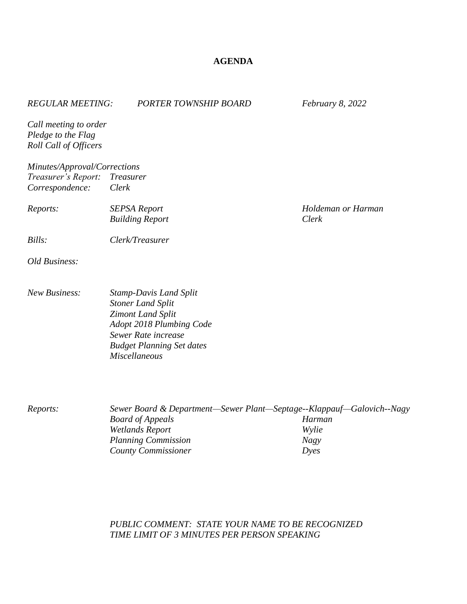## **AGENDA**

| <b>REGULAR MEETING:</b>                                              | <b>PORTER TOWNSHIP BOARD</b>                                                                                                                                                                         | February 8, 2022   |
|----------------------------------------------------------------------|------------------------------------------------------------------------------------------------------------------------------------------------------------------------------------------------------|--------------------|
| Call meeting to order<br>Pledge to the Flag<br>Roll Call of Officers |                                                                                                                                                                                                      |                    |
| Minutes/Approval/Corrections                                         |                                                                                                                                                                                                      |                    |
| Treasurer's Report: Treasurer                                        |                                                                                                                                                                                                      |                    |
| Correspondence:                                                      | Clerk                                                                                                                                                                                                |                    |
| Reports:                                                             | <b>SEPSA Report</b>                                                                                                                                                                                  | Holdeman or Harman |
|                                                                      | <b>Building Report</b>                                                                                                                                                                               | Clerk              |
| Bills:                                                               | Clerk/Treasurer                                                                                                                                                                                      |                    |
| Old Business:                                                        |                                                                                                                                                                                                      |                    |
| <b>New Business:</b>                                                 | <b>Stamp-Davis Land Split</b><br><b>Stoner Land Split</b><br><b>Zimont Land Split</b><br>Adopt 2018 Plumbing Code<br>Sewer Rate increase<br><b>Budget Planning Set dates</b><br><b>Miscellaneous</b> |                    |

*Reports: Sewer Board & Department—Sewer Plant—Septage--Klappauf—Galovich--Nagy Board of Appeals Harman*  $W$ *etlands Report Planning Commission Nagy*  $Country$  *Commissioner* 

## *PUBLIC COMMENT: STATE YOUR NAME TO BE RECOGNIZED TIME LIMIT OF 3 MINUTES PER PERSON SPEAKING*